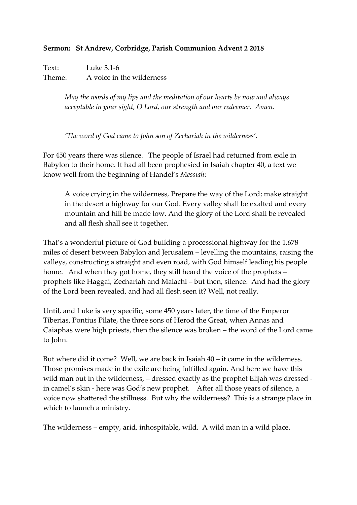## **Sermon: St Andrew, Corbridge, Parish Communion Advent 2 2018**

Text: Luke 3.1-6 Theme: A voice in the wilderness

> *May the words of my lips and the meditation of our hearts be now and always acceptable in your sight, O Lord, our strength and our redeemer. Amen.*

*'The word of God came to John son of Zechariah in the wilderness'.*

For 450 years there was silence. The people of Israel had returned from exile in Babylon to their home. It had all been prophesied in Isaiah chapter 40, a text we know well from the beginning of Handel's *Messiah*:

A voice crying in the wilderness, Prepare the way of the Lord; make straight in the desert a highway for our God. Every valley shall be exalted and every mountain and hill be made low. And the glory of the Lord shall be revealed and all flesh shall see it together.

That's a wonderful picture of God building a processional highway for the 1,678 miles of desert between Babylon and Jerusalem – levelling the mountains, raising the valleys, constructing a straight and even road, with God himself leading his people home. And when they got home, they still heard the voice of the prophets – prophets like Haggai, Zechariah and Malachi – but then, silence. And had the glory of the Lord been revealed, and had all flesh seen it? Well, not really.

Until, and Luke is very specific, some 450 years later, the time of the Emperor Tiberias, Pontius Pilate, the three sons of Herod the Great, when Annas and Caiaphas were high priests, then the silence was broken – the word of the Lord came to John.

But where did it come? Well, we are back in Isaiah 40 – it came in the wilderness. Those promises made in the exile are being fulfilled again. And here we have this wild man out in the wilderness, – dressed exactly as the prophet Elijah was dressed in camel's skin - here was God's new prophet. After all those years of silence, a voice now shattered the stillness. But why the wilderness? This is a strange place in which to launch a ministry.

The wilderness – empty, arid, inhospitable, wild. A wild man in a wild place.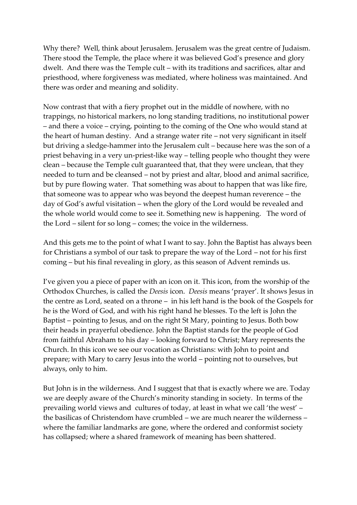Why there? Well, think about Jerusalem. Jerusalem was the great centre of Judaism. There stood the Temple, the place where it was believed God's presence and glory dwelt. And there was the Temple cult – with its traditions and sacrifices, altar and priesthood, where forgiveness was mediated, where holiness was maintained. And there was order and meaning and solidity.

Now contrast that with a fiery prophet out in the middle of nowhere, with no trappings, no historical markers, no long standing traditions, no institutional power – and there a voice – crying, pointing to the coming of the One who would stand at the heart of human destiny. And a strange water rite – not very significant in itself but driving a sledge-hammer into the Jerusalem cult – because here was the son of a priest behaving in a very un-priest-like way – telling people who thought they were clean – because the Temple cult guaranteed that, that they were unclean, that they needed to turn and be cleansed – not by priest and altar, blood and animal sacrifice, but by pure flowing water. That something was about to happen that was like fire, that someone was to appear who was beyond the deepest human reverence – the day of God's awful visitation – when the glory of the Lord would be revealed and the whole world would come to see it. Something new is happening. The word of the Lord – silent for so long – comes; the voice in the wilderness.

And this gets me to the point of what I want to say. John the Baptist has always been for Christians a symbol of our task to prepare the way of the Lord – not for his first coming – but his final revealing in glory, as this season of Advent reminds us.

I've given you a piece of paper with an icon on it. This icon, from the worship of the Orthodox Churches, is called the *Deesis* icon. *Deesis* means 'prayer'. It shows Jesus in the centre as Lord, seated on a throne – in his left hand is the book of the Gospels for he is the Word of God, and with his right hand he blesses. To the left is John the Baptist – pointing to Jesus, and on the right St Mary, pointing to Jesus. Both bow their heads in prayerful obedience. John the Baptist stands for the people of God from faithful Abraham to his day – looking forward to Christ; Mary represents the Church. In this icon we see our vocation as Christians: with John to point and prepare; with Mary to carry Jesus into the world – pointing not to ourselves, but always, only to him.

But John is in the wilderness. And I suggest that that is exactly where we are. Today we are deeply aware of the Church's minority standing in society. In terms of the prevailing world views and cultures of today, at least in what we call 'the west' – the basilicas of Christendom have crumbled – we are much nearer the wilderness – where the familiar landmarks are gone, where the ordered and conformist society has collapsed; where a shared framework of meaning has been shattered.